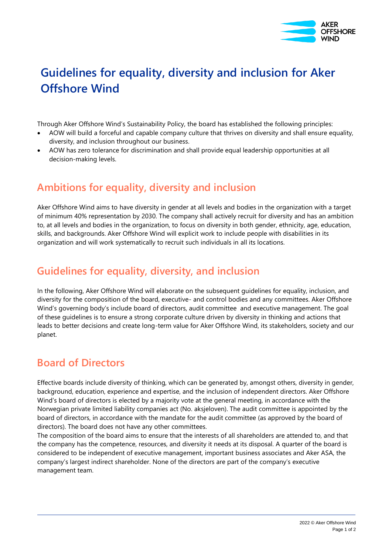

# **Guidelines for equality, diversity and inclusion for Aker Offshore Wind**

Through Aker Offshore Wind's Sustainability Policy, the board has established the following principles:

- AOW will build a forceful and capable company culture that thrives on diversity and shall ensure equality, diversity, and inclusion throughout our business.
- AOW has zero tolerance for discrimination and shall provide equal leadership opportunities at all decision-making levels.

# **Ambitions for equality, diversity and inclusion**

Aker Offshore Wind aims to have diversity in gender at all levels and bodies in the organization with a target of minimum 40% representation by 2030. The company shall actively recruit for diversity and has an ambition to, at all levels and bodies in the organization, to focus on diversity in both gender, ethnicity, age, education, skills, and backgrounds. Aker Offshore Wind will explicit work to include people with disabilities in its organization and will work systematically to recruit such individuals in all its locations.

## **Guidelines for equality, diversity, and inclusion**

In the following, Aker Offshore Wind will elaborate on the subsequent guidelines for equality, inclusion, and diversity for the composition of the board, executive- and control bodies and any committees. Aker Offshore Wind's governing body's include board of directors, audit committee and executive management. The goal of these guidelines is to ensure a strong corporate culture driven by diversity in thinking and actions that leads to better decisions and create long-term value for Aker Offshore Wind, its stakeholders, society and our planet.

#### **Board of Directors**

Effective boards include diversity of thinking, which can be generated by, amongst others, diversity in gender, background, education, experience and expertise, and the inclusion of independent directors. Aker Offshore Wind's board of directors is elected by a majority vote at the general meeting, in accordance with the Norwegian private limited liability companies act (No. aksjeloven). The audit committee is appointed by the board of directors, in accordance with the mandate for the audit committee (as approved by the board of directors). The board does not have any other committees.

The composition of the board aims to ensure that the interests of all shareholders are attended to, and that the company has the competence, resources, and diversity it needs at its disposal. A quarter of the board is considered to be independent of executive management, important business associates and Aker ASA, the company's largest indirect shareholder. None of the directors are part of the company's executive management team.